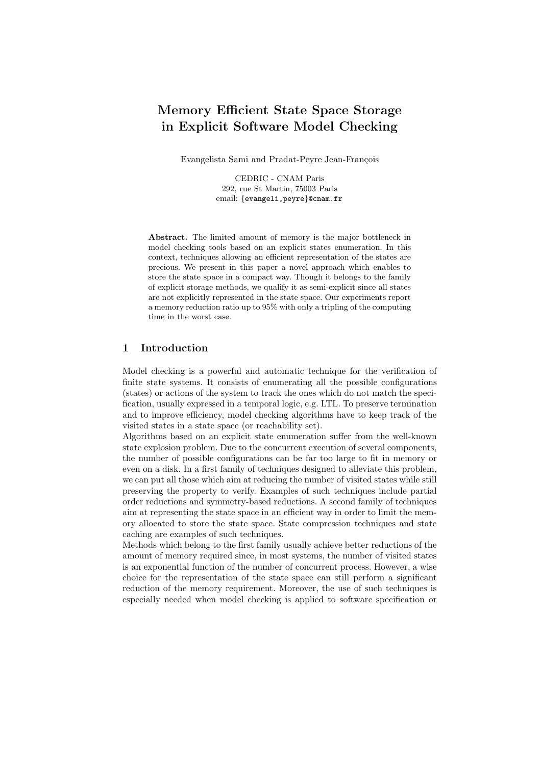# Memory Efficient State Space Storage in Explicit Software Model Checking

Evangelista Sami and Pradat-Peyre Jean-François

CEDRIC - CNAM Paris 292, rue St Martin, 75003 Paris email: {evangeli,peyre}@cnam.fr

Abstract. The limited amount of memory is the major bottleneck in model checking tools based on an explicit states enumeration. In this context, techniques allowing an efficient representation of the states are precious. We present in this paper a novel approach which enables to store the state space in a compact way. Though it belongs to the family of explicit storage methods, we qualify it as semi-explicit since all states are not explicitly represented in the state space. Our experiments report a memory reduction ratio up to 95% with only a tripling of the computing time in the worst case.

#### 1 Introduction

Model checking is a powerful and automatic technique for the verification of finite state systems. It consists of enumerating all the possible configurations (states) or actions of the system to track the ones which do not match the specification, usually expressed in a temporal logic, e.g. LTL. To preserve termination and to improve efficiency, model checking algorithms have to keep track of the visited states in a state space (or reachability set).

Algorithms based on an explicit state enumeration suffer from the well-known state explosion problem. Due to the concurrent execution of several components, the number of possible configurations can be far too large to fit in memory or even on a disk. In a first family of techniques designed to alleviate this problem, we can put all those which aim at reducing the number of visited states while still preserving the property to verify. Examples of such techniques include partial order reductions and symmetry-based reductions. A second family of techniques aim at representing the state space in an efficient way in order to limit the memory allocated to store the state space. State compression techniques and state caching are examples of such techniques.

Methods which belong to the first family usually achieve better reductions of the amount of memory required since, in most systems, the number of visited states is an exponential function of the number of concurrent process. However, a wise choice for the representation of the state space can still perform a significant reduction of the memory requirement. Moreover, the use of such techniques is especially needed when model checking is applied to software specification or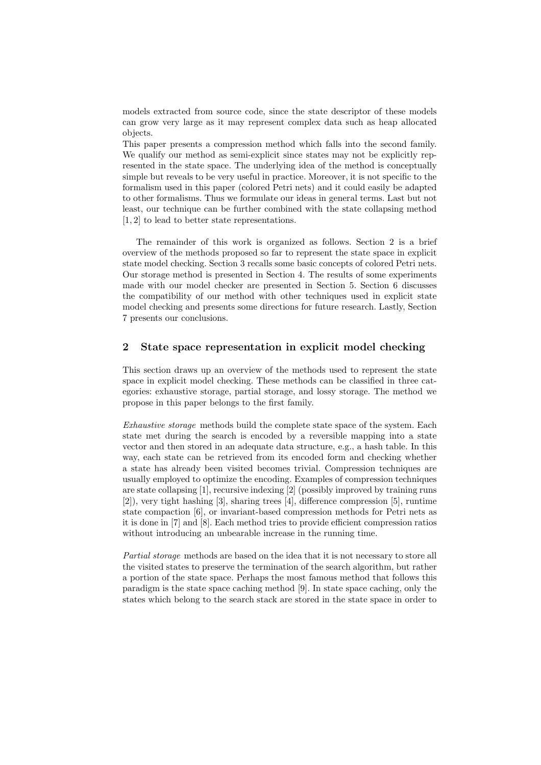models extracted from source code, since the state descriptor of these models can grow very large as it may represent complex data such as heap allocated objects.

This paper presents a compression method which falls into the second family. We qualify our method as semi-explicit since states may not be explicitly represented in the state space. The underlying idea of the method is conceptually simple but reveals to be very useful in practice. Moreover, it is not specific to the formalism used in this paper (colored Petri nets) and it could easily be adapted to other formalisms. Thus we formulate our ideas in general terms. Last but not least, our technique can be further combined with the state collapsing method [1, 2] to lead to better state representations.

The remainder of this work is organized as follows. Section 2 is a brief overview of the methods proposed so far to represent the state space in explicit state model checking. Section 3 recalls some basic concepts of colored Petri nets. Our storage method is presented in Section 4. The results of some experiments made with our model checker are presented in Section 5. Section 6 discusses the compatibility of our method with other techniques used in explicit state model checking and presents some directions for future research. Lastly, Section 7 presents our conclusions.

#### 2 State space representation in explicit model checking

This section draws up an overview of the methods used to represent the state space in explicit model checking. These methods can be classified in three categories: exhaustive storage, partial storage, and lossy storage. The method we propose in this paper belongs to the first family.

Exhaustive storage methods build the complete state space of the system. Each state met during the search is encoded by a reversible mapping into a state vector and then stored in an adequate data structure, e.g., a hash table. In this way, each state can be retrieved from its encoded form and checking whether a state has already been visited becomes trivial. Compression techniques are usually employed to optimize the encoding. Examples of compression techniques are state collapsing [1], recursive indexing [2] (possibly improved by training runs [2]), very tight hashing [3], sharing trees [4], difference compression [5], runtime state compaction [6], or invariant-based compression methods for Petri nets as it is done in [7] and [8]. Each method tries to provide efficient compression ratios without introducing an unbearable increase in the running time.

Partial storage methods are based on the idea that it is not necessary to store all the visited states to preserve the termination of the search algorithm, but rather a portion of the state space. Perhaps the most famous method that follows this paradigm is the state space caching method [9]. In state space caching, only the states which belong to the search stack are stored in the state space in order to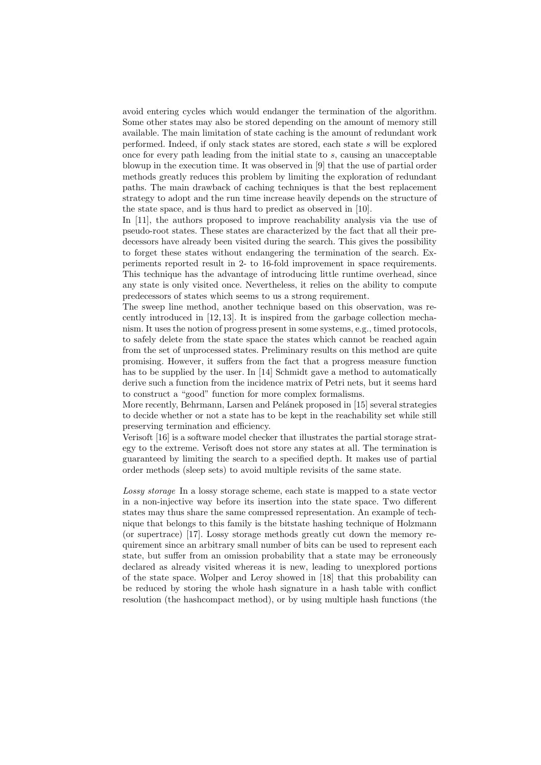avoid entering cycles which would endanger the termination of the algorithm. Some other states may also be stored depending on the amount of memory still available. The main limitation of state caching is the amount of redundant work performed. Indeed, if only stack states are stored, each state s will be explored once for every path leading from the initial state to s, causing an unacceptable blowup in the execution time. It was observed in [9] that the use of partial order methods greatly reduces this problem by limiting the exploration of redundant paths. The main drawback of caching techniques is that the best replacement strategy to adopt and the run time increase heavily depends on the structure of the state space, and is thus hard to predict as observed in [10].

In [11], the authors proposed to improve reachability analysis via the use of pseudo-root states. These states are characterized by the fact that all their predecessors have already been visited during the search. This gives the possibility to forget these states without endangering the termination of the search. Experiments reported result in 2- to 16-fold improvement in space requirements. This technique has the advantage of introducing little runtime overhead, since any state is only visited once. Nevertheless, it relies on the ability to compute predecessors of states which seems to us a strong requirement.

The sweep line method, another technique based on this observation, was recently introduced in [12, 13]. It is inspired from the garbage collection mechanism. It uses the notion of progress present in some systems, e.g., timed protocols, to safely delete from the state space the states which cannot be reached again from the set of unprocessed states. Preliminary results on this method are quite promising. However, it suffers from the fact that a progress measure function has to be supplied by the user. In [14] Schmidt gave a method to automatically derive such a function from the incidence matrix of Petri nets, but it seems hard to construct a "good" function for more complex formalisms.

More recently, Behrmann, Larsen and Pelánek proposed in [15] several strategies to decide whether or not a state has to be kept in the reachability set while still preserving termination and efficiency.

Verisoft [16] is a software model checker that illustrates the partial storage strategy to the extreme. Verisoft does not store any states at all. The termination is guaranteed by limiting the search to a specified depth. It makes use of partial order methods (sleep sets) to avoid multiple revisits of the same state.

Lossy storage In a lossy storage scheme, each state is mapped to a state vector in a non-injective way before its insertion into the state space. Two different states may thus share the same compressed representation. An example of technique that belongs to this family is the bitstate hashing technique of Holzmann (or supertrace) [17]. Lossy storage methods greatly cut down the memory requirement since an arbitrary small number of bits can be used to represent each state, but suffer from an omission probability that a state may be erroneously declared as already visited whereas it is new, leading to unexplored portions of the state space. Wolper and Leroy showed in [18] that this probability can be reduced by storing the whole hash signature in a hash table with conflict resolution (the hashcompact method), or by using multiple hash functions (the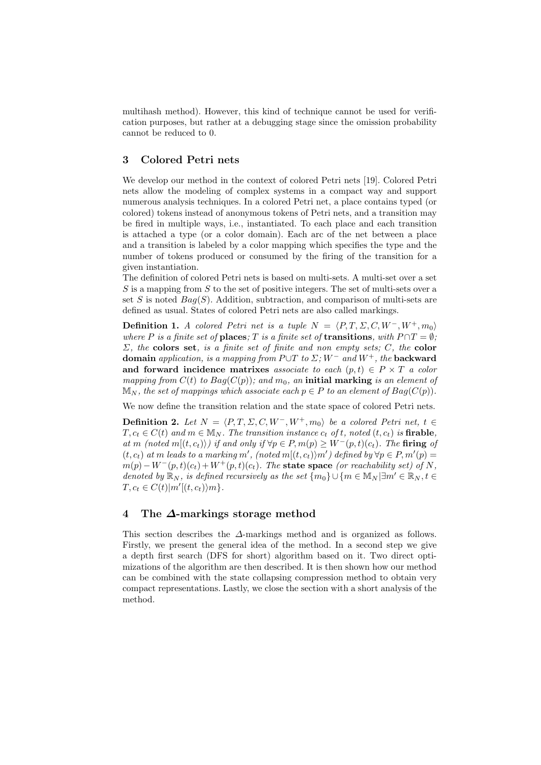multihash method). However, this kind of technique cannot be used for verification purposes, but rather at a debugging stage since the omission probability cannot be reduced to 0.

#### 3 Colored Petri nets

We develop our method in the context of colored Petri nets [19]. Colored Petri nets allow the modeling of complex systems in a compact way and support numerous analysis techniques. In a colored Petri net, a place contains typed (or colored) tokens instead of anonymous tokens of Petri nets, and a transition may be fired in multiple ways, i.e., instantiated. To each place and each transition is attached a type (or a color domain). Each arc of the net between a place and a transition is labeled by a color mapping which specifies the type and the number of tokens produced or consumed by the firing of the transition for a given instantiation.

The definition of colored Petri nets is based on multi-sets. A multi-set over a set  $S$  is a mapping from  $S$  to the set of positive integers. The set of multi-sets over a set S is noted  $Bag(S)$ . Addition, subtraction, and comparison of multi-sets are defined as usual. States of colored Petri nets are also called markings.

**Definition 1.** A colored Petri net is a tuple  $N = \langle P, T, \Sigma, C, W^-, W^+, m_0 \rangle$ where P is a finite set of **places**; T is a finite set of **transitions**, with  $P \cap T = \emptyset$ ;  $\Sigma$ , the colors set, is a finite set of finite and non empty sets; C, the color domain application, is a mapping from  $P\cup T$  to  $\Sigma$ ;  $W^-$  and  $W^+$ , the backward and forward incidence matrixes associate to each  $(p, t) \in P \times T$  a color mapping from  $C(t)$  to  $Bag(C(p))$ ; and  $m_0$ , an initial marking is an element of  $\mathbb{M}_N$ , the set of mappings which associate each  $p \in P$  to an element of  $Bag(C(p))$ .

We now define the transition relation and the state space of colored Petri nets.

**Definition 2.** Let  $N = \langle P, T, \Sigma, C, W^-, W^+, m_0 \rangle$  be a colored Petri net,  $t \in$  $T, c_t \in C(t)$  and  $m \in \mathbb{M}_N$ . The transition instance  $c_t$  of t, noted  $(t, c_t)$  is firable, at m (noted m[ $(t, c_t)$ ) if and only if  $\forall p \in P, m(p) \ge W^-(p,t)(c_t)$ . The firing of  $(t, c_t)$  at m leads to a marking m', (noted  $m[(t, c_t)\rangle m')$  defined by  $\forall p \in P, m'(p) =$  $m(p)-W^-(p,t)(c_t)+W^+(p,t)(c_t)$ . The state space (or reachability set) of N, denoted by  $\mathbb{R}_N$ , is defined recursively as the set  $\{m_0\} \cup \{m \in \mathbb{M}_N | \exists m' \in \mathbb{R}_N, t \in$  $T, c_t \in C(t) |m'[(t, c_t)\rangle m$ .

#### 4 The ∆-markings storage method

This section describes the ∆-markings method and is organized as follows. Firstly, we present the general idea of the method. In a second step we give a depth first search (DFS for short) algorithm based on it. Two direct optimizations of the algorithm are then described. It is then shown how our method can be combined with the state collapsing compression method to obtain very compact representations. Lastly, we close the section with a short analysis of the method.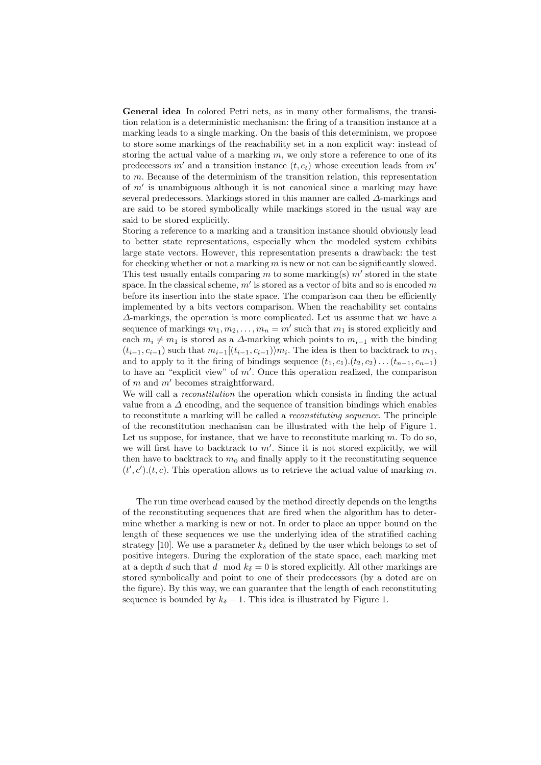General idea In colored Petri nets, as in many other formalisms, the transition relation is a deterministic mechanism: the firing of a transition instance at a marking leads to a single marking. On the basis of this determinism, we propose to store some markings of the reachability set in a non explicit way: instead of storing the actual value of a marking  $m$ , we only store a reference to one of its predecessors m' and a transition instance  $(t, c_t)$  whose execution leads from m' to m. Because of the determinism of the transition relation, this representation of  $m'$  is unambiguous although it is not canonical since a marking may have several predecessors. Markings stored in this manner are called  $\Delta$ -markings and are said to be stored symbolically while markings stored in the usual way are said to be stored explicitly.

Storing a reference to a marking and a transition instance should obviously lead to better state representations, especially when the modeled system exhibits large state vectors. However, this representation presents a drawback: the test for checking whether or not a marking  $m$  is new or not can be significantly slowed. This test usually entails comparing  $\overline{m}$  to some marking(s)  $m'$  stored in the state space. In the classical scheme,  $m'$  is stored as a vector of bits and so is encoded m before its insertion into the state space. The comparison can then be efficiently implemented by a bits vectors comparison. When the reachability set contains ∆-markings, the operation is more complicated. Let us assume that we have a sequence of markings  $m_1, m_2, \ldots, m_n = m'$  such that  $m_1$  is stored explicitly and each  $m_i \neq m_1$  is stored as a  $\Delta$ -marking which points to  $m_{i-1}$  with the binding  $(t_{i-1}, c_{i-1})$  such that  $m_{i-1}[(t_{i-1}, c_{i-1})/m_i]$ . The idea is then to backtrack to  $m_1$ , and to apply to it the firing of bindings sequence  $(t_1, c_1)$ . $(t_2, c_2)$ ... $(t_{n-1}, c_{n-1})$ to have an "explicit view" of  $m'$ . Once this operation realized, the comparison of  $m$  and  $m'$  becomes straightforward.

We will call a *reconstitution* the operation which consists in finding the actual value from a  $\Delta$  encoding, and the sequence of transition bindings which enables to reconstitute a marking will be called a reconstituting sequence. The principle of the reconstitution mechanism can be illustrated with the help of Figure 1. Let us suppose, for instance, that we have to reconstitute marking  $m$ . To do so, we will first have to backtrack to  $m'$ . Since it is not stored explicitly, we will then have to backtrack to  $m_0$  and finally apply to it the reconstituting sequence  $(t', c') \cdot (t, c)$ . This operation allows us to retrieve the actual value of marking m.

The run time overhead caused by the method directly depends on the lengths of the reconstituting sequences that are fired when the algorithm has to determine whether a marking is new or not. In order to place an upper bound on the length of these sequences we use the underlying idea of the stratified caching strategy [10]. We use a parameter  $k_{\delta}$  defined by the user which belongs to set of positive integers. During the exploration of the state space, each marking met at a depth d such that d mod  $k_{\delta} = 0$  is stored explicitly. All other markings are stored symbolically and point to one of their predecessors (by a doted arc on the figure). By this way, we can guarantee that the length of each reconstituting sequence is bounded by  $k_{\delta} - 1$ . This idea is illustrated by Figure 1.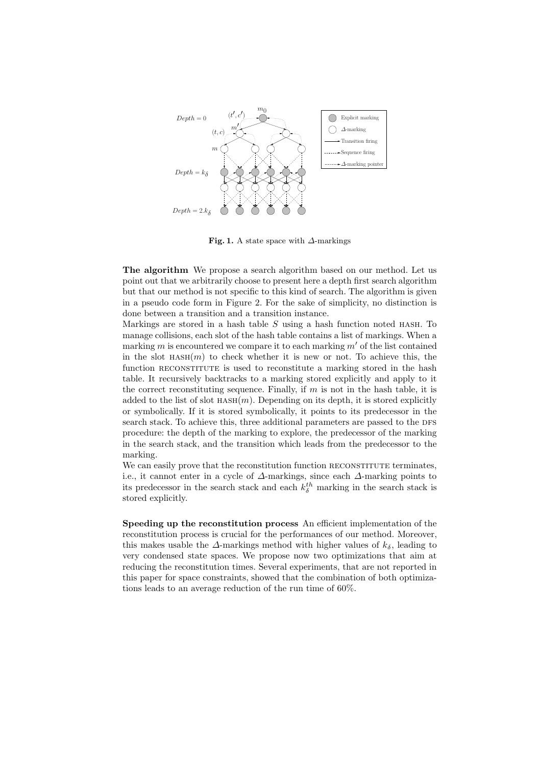

Fig. 1. A state space with  $\Delta$ -markings

The algorithm We propose a search algorithm based on our method. Let us point out that we arbitrarily choose to present here a depth first search algorithm but that our method is not specific to this kind of search. The algorithm is given in a pseudo code form in Figure 2. For the sake of simplicity, no distinction is done between a transition and a transition instance.

Markings are stored in a hash table  $S$  using a hash function noted HASH. To manage collisions, each slot of the hash table contains a list of markings. When a marking m is encountered we compare it to each marking  $m'$  of the list contained in the slot  $HASH(m)$  to check whether it is new or not. To achieve this, the function RECONSTITUTE is used to reconstitute a marking stored in the hash table. It recursively backtracks to a marking stored explicitly and apply to it the correct reconstituting sequence. Finally, if  $m$  is not in the hash table, it is added to the list of slot  $HASH(m)$ . Depending on its depth, it is stored explicitly or symbolically. If it is stored symbolically, it points to its predecessor in the search stack. To achieve this, three additional parameters are passed to the DFS procedure: the depth of the marking to explore, the predecessor of the marking in the search stack, and the transition which leads from the predecessor to the marking.

We can easily prove that the reconstitution function RECONSTITUTE terminates, i.e., it cannot enter in a cycle of ∆-markings, since each ∆-marking points to its predecessor in the search stack and each  $k_{\delta}^{th}$  marking in the search stack is stored explicitly.

Speeding up the reconstitution process An efficient implementation of the reconstitution process is crucial for the performances of our method. Moreover, this makes usable the  $\Delta$ -markings method with higher values of  $k_{\delta}$ , leading to very condensed state spaces. We propose now two optimizations that aim at reducing the reconstitution times. Several experiments, that are not reported in this paper for space constraints, showed that the combination of both optimizations leads to an average reduction of the run time of 60%.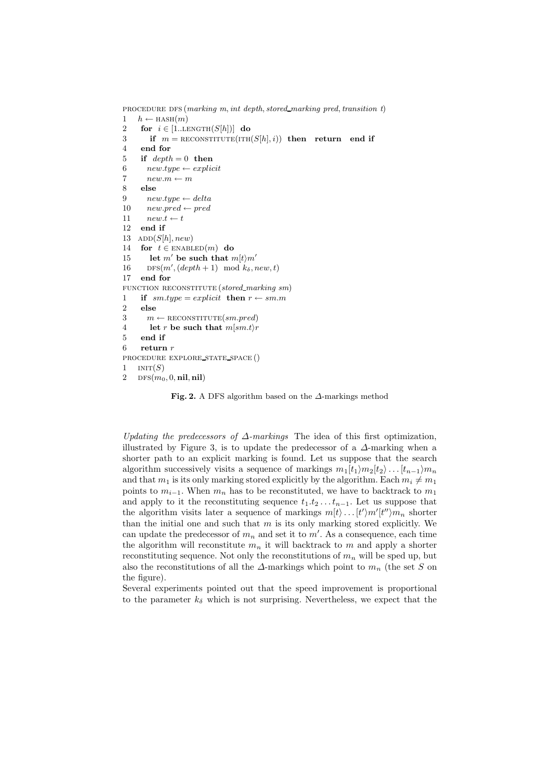```
PROCEDURE DFS (marking m, int depth, stored marking pred, transition t)
1 h \leftarrow \text{HASH}(m)2 for i \in [1..\text{LENGTH}(S[h])] do
3 if m = RECONSTITUTE(ITH(S[h], i)) then return end if
4 end for
5 if depth = 0 then
6 new_type \leftarrow explicit7 new.m \leftarrow m8 else
9 new_type \leftarrow delta10 new,pred \leftarrow pred11 new.t \leftarrow t12 end if
13 ADD(S[h], new)14 for t \in ENABLED(m) do
15 let m' be such that m(t)m'16 \text{DFS}(m', (\text{depth} + 1) \mod k_{\delta}, \text{new}, t)17 end for
FUNCTION RECONSTITUTE (\textit{stored\_marking sm})1 if sm.type = explicit then r \leftarrow sm.m2 else
3 m \leftarrow RECONSTITUTE(sm.pred)
4 let r be such that m \vert sm.t \rangle r5 end if
6 return r
procedure explore state space ()
1 INT(S)2 DFS(m_0, 0, \text{nil}, \text{nil})
```
Fig. 2. A DFS algorithm based on the  $\Delta$ -markings method

Updating the predecessors of  $\Delta$ -markings The idea of this first optimization, illustrated by Figure 3, is to update the predecessor of a  $\Delta$ -marking when a shorter path to an explicit marking is found. Let us suppose that the search algorithm successively visits a sequence of markings  $m_1[t_1)m_2[t_2]\dots[t_{n-1}m_n]$ and that  $m_1$  is its only marking stored explicitly by the algorithm. Each  $m_i \neq m_1$ points to  $m_{i-1}$ . When  $m_n$  has to be reconstituted, we have to backtrack to  $m_1$ and apply to it the reconstituting sequence  $t_1, t_2, \ldots, t_{n-1}$ . Let us suppose that the algorithm visits later a sequence of markings  $m[t) \dots [t' \rangle m'[t''] m_n$  shorter than the initial one and such that  $m$  is its only marking stored explicitly. We can update the predecessor of  $m_n$  and set it to  $m'$ . As a consequence, each time the algorithm will reconstitute  $m_n$  it will backtrack to m and apply a shorter reconstituting sequence. Not only the reconstitutions of  $m<sub>n</sub>$  will be sped up, but also the reconstitutions of all the  $\Delta$ -markings which point to  $m_n$  (the set S on the figure).

Several experiments pointed out that the speed improvement is proportional to the parameter  $k_{\delta}$  which is not surprising. Nevertheless, we expect that the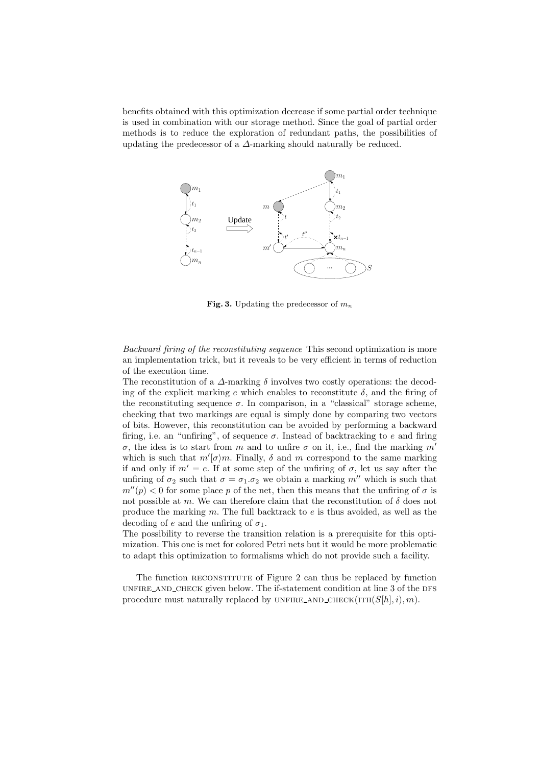benefits obtained with this optimization decrease if some partial order technique is used in combination with our storage method. Since the goal of partial order methods is to reduce the exploration of redundant paths, the possibilities of updating the predecessor of a  $\Delta$ -marking should naturally be reduced.



Fig. 3. Updating the predecessor of  $m_n$ 

Backward firing of the reconstituting sequence This second optimization is more an implementation trick, but it reveals to be very efficient in terms of reduction of the execution time.

The reconstitution of a  $\Delta$ -marking  $\delta$  involves two costly operations: the decoding of the explicit marking e which enables to reconstitute  $\delta$ , and the firing of the reconstituting sequence  $\sigma$ . In comparison, in a "classical" storage scheme, checking that two markings are equal is simply done by comparing two vectors of bits. However, this reconstitution can be avoided by performing a backward firing, i.e. an "unfiring", of sequence  $\sigma$ . Instead of backtracking to e and firing σ, the idea is to start from m and to unfire σ on it, i.e., find the marking m' which is such that  $m'[\sigma/m]$ . Finally,  $\delta$  and m correspond to the same marking if and only if  $m' = e$ . If at some step of the unfiring of  $\sigma$ , let us say after the unfiring of  $\sigma_2$  such that  $\sigma = \sigma_1 \sigma_2$  we obtain a marking m'' which is such that  $m''(p) < 0$  for some place p of the net, then this means that the unfiring of  $\sigma$  is not possible at m. We can therefore claim that the reconstitution of  $\delta$  does not produce the marking  $m$ . The full backtrack to  $e$  is thus avoided, as well as the decoding of e and the unfiring of  $\sigma_1$ .

The possibility to reverse the transition relation is a prerequisite for this optimization. This one is met for colored Petri nets but it would be more problematic to adapt this optimization to formalisms which do not provide such a facility.

The function RECONSTITUTE of Figure 2 can thus be replaced by function UNFIRE AND CHECK given below. The if-statement condition at line 3 of the DFS procedure must naturally replaced by UNFIRE AND CHECK(ITH( $S[h], i), m$ ).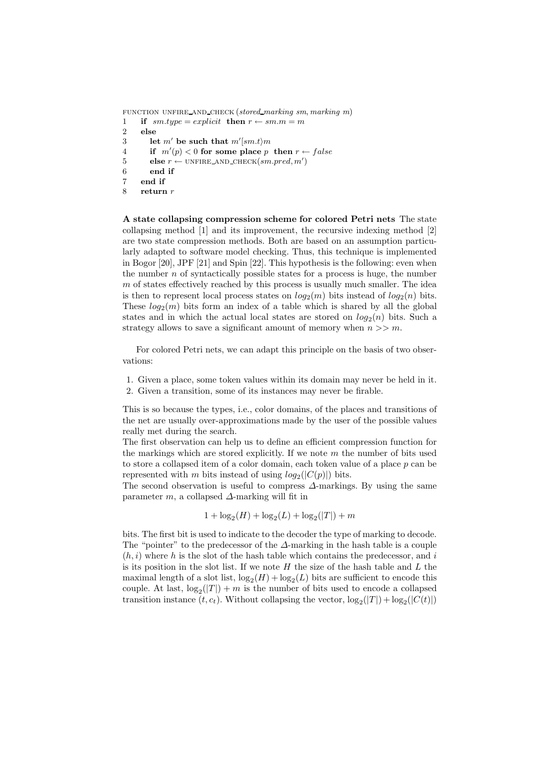```
FUNCTION UNFIRE AND CHECK (stored marking sm, marking m)
1 if sm.type = explicit then r \leftarrow sm.m = m2 else
3 let m' be such that m'[sm.t\rangle m4 if m'(p) < 0 for some place p then r \leftarrow false5 else r \leftarrow \text{UNFIRE} AND CHECK(sm,pred, m')6 end if
7 end if
8 return r
```
A state collapsing compression scheme for colored Petri nets The state collapsing method [1] and its improvement, the recursive indexing method [2] are two state compression methods. Both are based on an assumption particularly adapted to software model checking. Thus, this technique is implemented in Bogor [20], JPF [21] and Spin [22]. This hypothesis is the following: even when the number  $n$  of syntactically possible states for a process is huge, the number  $m$  of states effectively reached by this process is usually much smaller. The idea is then to represent local process states on  $log_2(m)$  bits instead of  $log_2(n)$  bits. These  $log_2(m)$  bits form an index of a table which is shared by all the global states and in which the actual local states are stored on  $log_2(n)$  bits. Such a strategy allows to save a significant amount of memory when  $n >> m$ .

For colored Petri nets, we can adapt this principle on the basis of two observations:

- 1. Given a place, some token values within its domain may never be held in it.
- 2. Given a transition, some of its instances may never be firable.

This is so because the types, i.e., color domains, of the places and transitions of the net are usually over-approximations made by the user of the possible values really met during the search.

The first observation can help us to define an efficient compression function for the markings which are stored explicitly. If we note  $m$  the number of bits used to store a collapsed item of a color domain, each token value of a place  $p$  can be represented with m bits instead of using  $log_2(|C(p)|)$  bits.

The second observation is useful to compress  $\Delta$ -markings. By using the same parameter m, a collapsed  $\Delta$ -marking will fit in

$$
1 + \log_2(H) + \log_2(L) + \log_2(|T|) + m
$$

bits. The first bit is used to indicate to the decoder the type of marking to decode. The "pointer" to the predecessor of the  $\Delta$ -marking in the hash table is a couple  $(h, i)$  where h is the slot of the hash table which contains the predecessor, and i is its position in the slot list. If we note  $H$  the size of the hash table and  $L$  the maximal length of a slot list,  $\log_2(H) + \log_2(L)$  bits are sufficient to encode this couple. At last,  $log_2(|T|) + m$  is the number of bits used to encode a collapsed transition instance  $(t, c_t)$ . Without collapsing the vector,  $\log_2(|T|) + \log_2(|C(t)|)$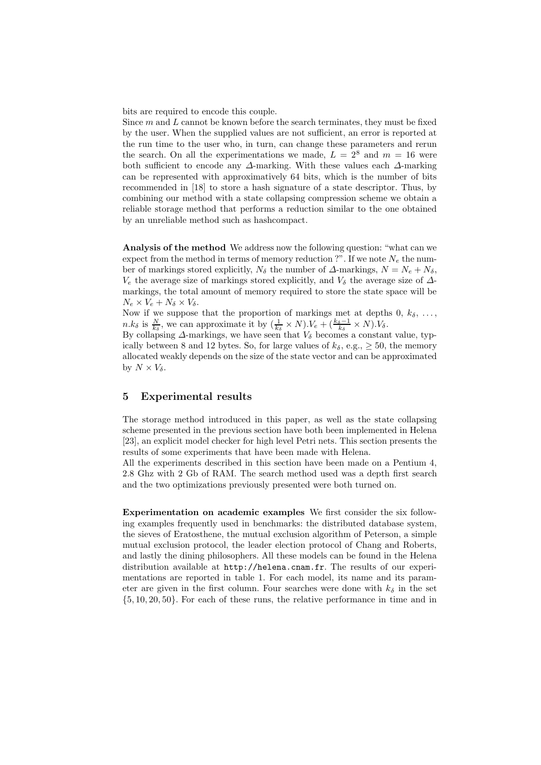bits are required to encode this couple.

Since  $m$  and  $L$  cannot be known before the search terminates, they must be fixed by the user. When the supplied values are not sufficient, an error is reported at the run time to the user who, in turn, can change these parameters and rerun the search. On all the experimentations we made,  $L = 2^8$  and  $m = 16$  were both sufficient to encode any  $\Delta$ -marking. With these values each  $\Delta$ -marking can be represented with approximatively 64 bits, which is the number of bits recommended in [18] to store a hash signature of a state descriptor. Thus, by combining our method with a state collapsing compression scheme we obtain a reliable storage method that performs a reduction similar to the one obtained by an unreliable method such as hashcompact.

Analysis of the method We address now the following question: "what can we expect from the method in terms of memory reduction ?". If we note  $N_e$  the number of markings stored explicitly,  $N_{\delta}$  the number of  $\Delta$ -markings,  $N = N_e + N_{\delta}$ ,  $V_e$  the average size of markings stored explicitly, and  $V_\delta$  the average size of  $\Delta$ markings, the total amount of memory required to store the state space will be  $N_e \times V_e + N_\delta \times V_\delta$ .

Now if we suppose that the proportion of markings met at depths  $0, k_{\delta}, \ldots$ ,  $n.k_\delta$  is  $\frac{N}{k_\delta}$ , we can approximate it by  $\left(\frac{1}{k_\delta} \times N\right) V_e + \left(\frac{k_\delta - 1}{k_\delta} \times N\right) V_\delta$ .

By collapsing  $\Delta$ -markings, we have seen that  $V_{\delta}$  becomes a constant value, typically between 8 and 12 bytes. So, for large values of  $k_{\delta}$ , e.g.,  $\geq 50$ , the memory allocated weakly depends on the size of the state vector and can be approximated by  $N \times V_{\delta}$ .

#### 5 Experimental results

The storage method introduced in this paper, as well as the state collapsing scheme presented in the previous section have both been implemented in Helena [23], an explicit model checker for high level Petri nets. This section presents the results of some experiments that have been made with Helena.

All the experiments described in this section have been made on a Pentium 4, 2.8 Ghz with 2 Gb of RAM. The search method used was a depth first search and the two optimizations previously presented were both turned on.

Experimentation on academic examples We first consider the six following examples frequently used in benchmarks: the distributed database system, the sieves of Eratosthene, the mutual exclusion algorithm of Peterson, a simple mutual exclusion protocol, the leader election protocol of Chang and Roberts, and lastly the dining philosophers. All these models can be found in the Helena distribution available at http://helena.cnam.fr. The results of our experimentations are reported in table 1. For each model, its name and its parameter are given in the first column. Four searches were done with  $k_{\delta}$  in the set  $\{5, 10, 20, 50\}$ . For each of these runs, the relative performance in time and in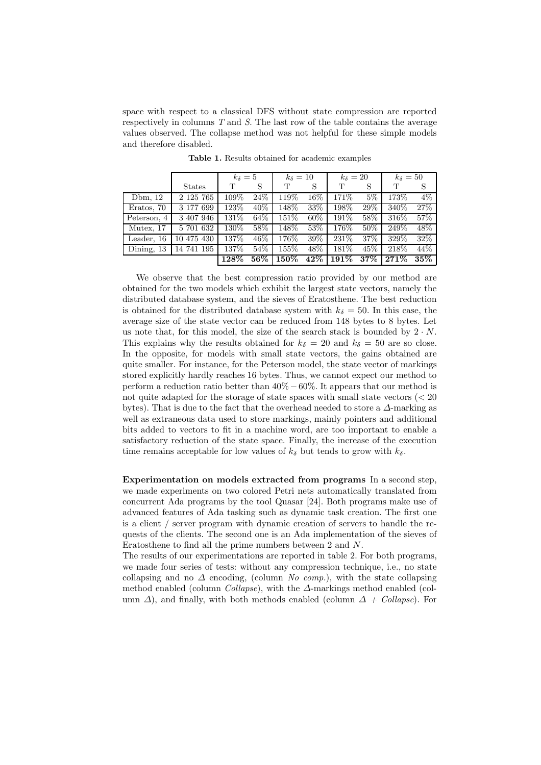space with respect to a classical DFS without state compression are reported respectively in columns T and S. The last row of the table contains the average values observed. The collapse method was not helpful for these simple models and therefore disabled.

|             |               | $k_{\delta}=5$ |        | $k_{\delta}=10$ |        | $k_{\delta}=20$ |        | $k_{\delta}=50$ |       |
|-------------|---------------|----------------|--------|-----------------|--------|-----------------|--------|-----------------|-------|
|             | <b>States</b> | T              | S      | T               | S      | T               | S      | T               | S     |
| Dbm, 12     | 2 1 2 5 7 6 5 | 109%           | 24%    | 119%            | $16\%$ | 171%            | $5\%$  | 173%            | $4\%$ |
| Eratos, 70  | 3 177 699     | 123%           | 40%    | 148%            | 33%    | 198%            | 29%    | 340%            | 27%   |
| Peterson, 4 | 3 407 946     | 131%           | 64%    | 151%            | $60\%$ | 191%            | 58%    | 316\%           | 57%   |
| Mutex, 17   | 5 701 632     | 130%           | 58%    | 148%            | 53%    | 176%            | 50%    | 249%            | 48%   |
| Leader, 16  | 10 475 430    | 137%           | $46\%$ | 176%            | 39%    | 231\%           | 37%    | 329%            | 32%   |
| Dining, 13  | 14 741 195    | 137\%          | $54\%$ | 155%            | 48%    | 181%            | $45\%$ | 218\%           | 44\%  |
|             |               | 128%           | 56%    | 150%            | 42\%   | 191%            | 37%    | 271%            | 35%   |

Table 1. Results obtained for academic examples

We observe that the best compression ratio provided by our method are obtained for the two models which exhibit the largest state vectors, namely the distributed database system, and the sieves of Eratosthene. The best reduction is obtained for the distributed database system with  $k_{\delta} = 50$ . In this case, the average size of the state vector can be reduced from 148 bytes to 8 bytes. Let us note that, for this model, the size of the search stack is bounded by  $2 \cdot N$ . This explains why the results obtained for  $k_{\delta} = 20$  and  $k_{\delta} = 50$  are so close. In the opposite, for models with small state vectors, the gains obtained are quite smaller. For instance, for the Peterson model, the state vector of markings stored explicitly hardly reaches 16 bytes. Thus, we cannot expect our method to perform a reduction ratio better than  $40\% - 60\%$ . It appears that our method is not quite adapted for the storage of state spaces with small state vectors  $\langle < 20$ bytes). That is due to the fact that the overhead needed to store a  $\Delta$ -marking as well as extraneous data used to store markings, mainly pointers and additional bits added to vectors to fit in a machine word, are too important to enable a satisfactory reduction of the state space. Finally, the increase of the execution time remains acceptable for low values of  $k_{\delta}$  but tends to grow with  $k_{\delta}$ .

Experimentation on models extracted from programs In a second step, we made experiments on two colored Petri nets automatically translated from concurrent Ada programs by the tool Quasar [24]. Both programs make use of advanced features of Ada tasking such as dynamic task creation. The first one is a client / server program with dynamic creation of servers to handle the requests of the clients. The second one is an Ada implementation of the sieves of Eratosthene to find all the prime numbers between 2 and N.

The results of our experimentations are reported in table 2. For both programs, we made four series of tests: without any compression technique, i.e., no state collapsing and no  $\Delta$  encoding, (column No comp.), with the state collapsing method enabled (column *Collapse*), with the  $\Delta$ -markings method enabled (column  $\Delta$ ), and finally, with both methods enabled (column  $\Delta + Collapse$ ). For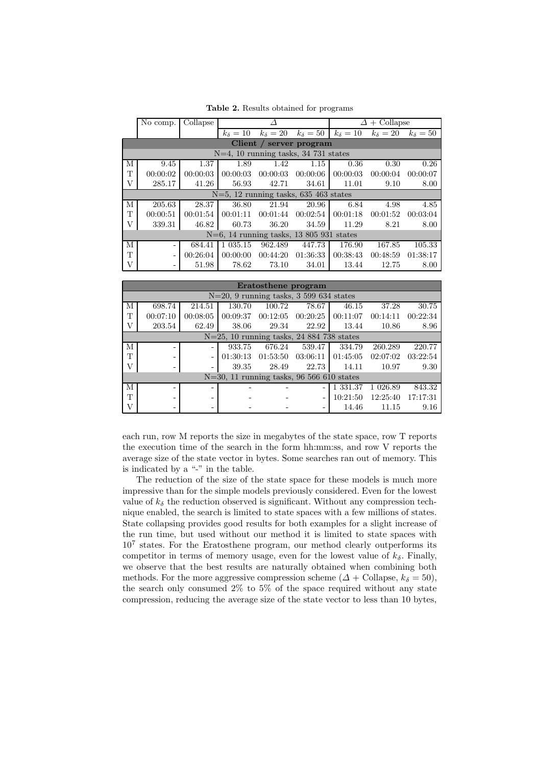|                                             | No comp.        | Collapse |                 |                 |                 | $\Delta$ + Collapse |                 |                 |  |  |  |
|---------------------------------------------|-----------------|----------|-----------------|-----------------|-----------------|---------------------|-----------------|-----------------|--|--|--|
|                                             |                 |          | $k_{\delta}=10$ | $k_{\delta}=20$ | $k_{\delta}=50$ | $k_{\delta}=10$     | $k_{\delta}=20$ | $k_{\delta}=50$ |  |  |  |
| <b>Client</b><br>server program             |                 |          |                 |                 |                 |                     |                 |                 |  |  |  |
| $N=4$ , 10 running tasks, 34 731 states     |                 |          |                 |                 |                 |                     |                 |                 |  |  |  |
| М                                           | 9.45            | 1.37     | 1.89            | 1.42            | 1.15            | 0.36                | 0.30            | 0.26            |  |  |  |
| T                                           | 00:00:02        | 00:00:03 | 00:00:03        | 00:00:03        | 00:00:06        | 00:00:03            | 00:00:04        | 00:00:07        |  |  |  |
| V                                           | 285.17          | 41.26    | 56.93           | 42.71           | 34.61           | 11.01               | 9.10            | 8.00            |  |  |  |
| $N=5$ , 12 running tasks, 635 463 states    |                 |          |                 |                 |                 |                     |                 |                 |  |  |  |
| М                                           | 205.63          | 28.37    | 36.80           | 21.94           | 20.96           | 6.84                | 4.98            | 4.85            |  |  |  |
| T                                           | 00:00:51        | 00:01:54 | 00:01:11        | 00:01:44        | 00:02:54        | 00:01:18            | 00:01:52        | 00:03:04        |  |  |  |
| V                                           | 339.31          | 46.82    | 60.73           | 36.20           | 34.59           | 11.29               | 8.21            | 8.00            |  |  |  |
| $N=6$ , 14 running tasks, 13 805 931 states |                 |          |                 |                 |                 |                     |                 |                 |  |  |  |
| М                                           | -               | 684.41   | 1 035.15        | 962.489         | 447.73          | 176.90              | 167.85          | 105.33          |  |  |  |
| T                                           | ٠               | 00:26:04 | 00:00:00        | 00:44:20        | 01:36:33        | 00:38:43            | 00:48:59        | 01:38:17        |  |  |  |
| V                                           | $\qquad \qquad$ | 51.98    | 78.62           | 73.10           | 34.01           | 13.44               | 12.75           | 8.00            |  |  |  |

Table 2. Results obtained for programs

| Eratosthene program                          |          |          |          |          |          |          |           |          |  |  |  |
|----------------------------------------------|----------|----------|----------|----------|----------|----------|-----------|----------|--|--|--|
| $N=20$ , 9 running tasks, 3 599 634 states   |          |          |          |          |          |          |           |          |  |  |  |
| М                                            | 698.74   | 214.51   | 130.70   | 100.72   | 78.67    | 46.15    | 37.28     | 30.75    |  |  |  |
| T                                            | 00:07:10 | 00:08:05 | 00:09:37 | 00:12:05 | 00:20:25 | 00:11:07 | 00:14:11  | 00:22:34 |  |  |  |
| V                                            | 203.54   | 62.49    | 38.06    | 29.34    | 22.92    | 13.44    | 10.86     | 8.96     |  |  |  |
| $N=25$ , 10 running tasks, 24 884 738 states |          |          |          |          |          |          |           |          |  |  |  |
| M                                            | ۰        | ۰        | 933.75   | 676.24   | 539.47   | 334.79   | 260.289   | 220.77   |  |  |  |
| $\mathsf{T}$                                 | -        |          | 01:30:13 | 01:53:50 | 03:06:11 | 01:45:05 | 02:07:02  | 03:22:54 |  |  |  |
| $\rm _V$                                     | -        | -        | 39.35    | 28.49    | 22.73    | 14.11    | 10.97     | 9.30     |  |  |  |
| $N=30$ , 11 running tasks, 96 566 610 states |          |          |          |          |          |          |           |          |  |  |  |
| M                                            | -        |          |          |          |          | 1 331.37 | 1 0 26.89 | 843.32   |  |  |  |
| $\mathsf{T}$                                 | -        |          |          |          | ۰        | 10:21:50 | 12:25:40  | 17:17:31 |  |  |  |
| V                                            |          |          |          |          |          | 14.46    | 11.15     | 9.16     |  |  |  |

each run, row M reports the size in megabytes of the state space, row T reports the execution time of the search in the form hh:mm:ss, and row V reports the average size of the state vector in bytes. Some searches ran out of memory. This is indicated by a "-" in the table.

The reduction of the size of the state space for these models is much more impressive than for the simple models previously considered. Even for the lowest value of  $k_{\delta}$  the reduction observed is significant. Without any compression technique enabled, the search is limited to state spaces with a few millions of states. State collapsing provides good results for both examples for a slight increase of the run time, but used without our method it is limited to state spaces with  $10<sup>7</sup>$  states. For the Eratosthene program, our method clearly outperforms its competitor in terms of memory usage, even for the lowest value of  $k_{\delta}$ . Finally, we observe that the best results are naturally obtained when combining both methods. For the more aggressive compression scheme ( $\Delta$  + Collapse,  $k_{\delta} = 50$ ), the search only consumed 2% to 5% of the space required without any state compression, reducing the average size of the state vector to less than 10 bytes,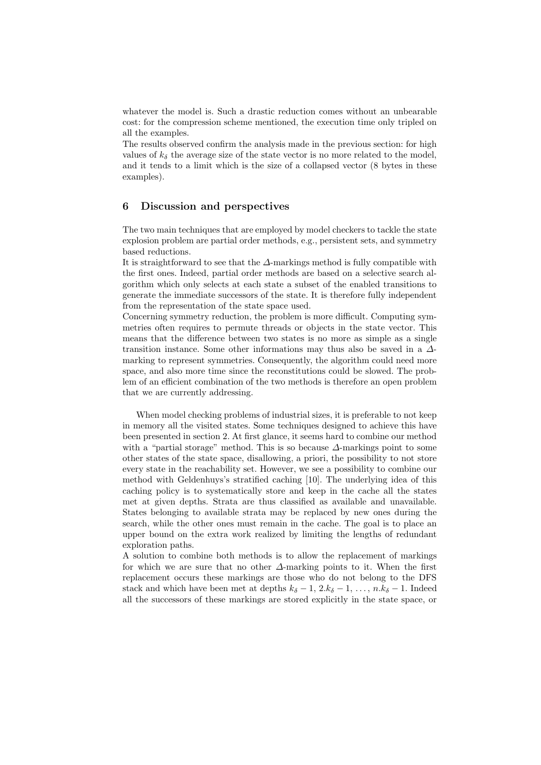whatever the model is. Such a drastic reduction comes without an unbearable cost: for the compression scheme mentioned, the execution time only tripled on all the examples.

The results observed confirm the analysis made in the previous section: for high values of  $k_{\delta}$  the average size of the state vector is no more related to the model, and it tends to a limit which is the size of a collapsed vector (8 bytes in these examples).

### 6 Discussion and perspectives

The two main techniques that are employed by model checkers to tackle the state explosion problem are partial order methods, e.g., persistent sets, and symmetry based reductions.

It is straightforward to see that the  $\Delta$ -markings method is fully compatible with the first ones. Indeed, partial order methods are based on a selective search algorithm which only selects at each state a subset of the enabled transitions to generate the immediate successors of the state. It is therefore fully independent from the representation of the state space used.

Concerning symmetry reduction, the problem is more difficult. Computing symmetries often requires to permute threads or objects in the state vector. This means that the difference between two states is no more as simple as a single transition instance. Some other informations may thus also be saved in a  $\Delta$ marking to represent symmetries. Consequently, the algorithm could need more space, and also more time since the reconstitutions could be slowed. The problem of an efficient combination of the two methods is therefore an open problem that we are currently addressing.

When model checking problems of industrial sizes, it is preferable to not keep in memory all the visited states. Some techniques designed to achieve this have been presented in section 2. At first glance, it seems hard to combine our method with a "partial storage" method. This is so because  $\Delta$ -markings point to some other states of the state space, disallowing, a priori, the possibility to not store every state in the reachability set. However, we see a possibility to combine our method with Geldenhuys's stratified caching [10]. The underlying idea of this caching policy is to systematically store and keep in the cache all the states met at given depths. Strata are thus classified as available and unavailable. States belonging to available strata may be replaced by new ones during the search, while the other ones must remain in the cache. The goal is to place an upper bound on the extra work realized by limiting the lengths of redundant exploration paths.

A solution to combine both methods is to allow the replacement of markings for which we are sure that no other  $\Delta$ -marking points to it. When the first replacement occurs these markings are those who do not belong to the DFS stack and which have been met at depths  $k_{\delta} - 1, 2.k_{\delta} - 1, ..., n.k_{\delta} - 1$ . Indeed all the successors of these markings are stored explicitly in the state space, or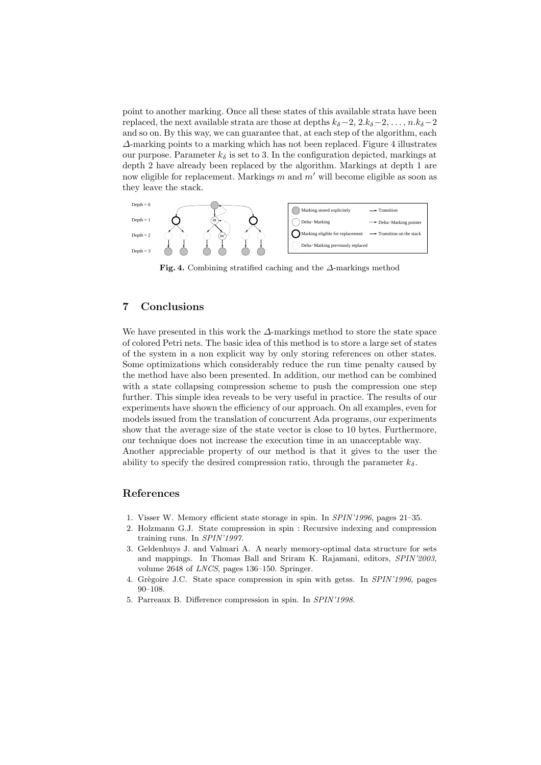point to another marking. Once all these states of this available strata have been replaced, the next available strata are those at depths  $k_{\delta}-2, 2,k_{\delta}-2, \ldots, n.k_{\delta}-2$ and so on. By this way, we can guarantee that, at each step of the algorithm, each ∆-marking points to a marking which has not been replaced. Figure 4 illustrates our purpose. Parameter  $k_{\delta}$  is set to 3. In the configuration depicted, markings at depth 2 have already been replaced by the algorithm. Markings at depth 1 are now eligible for replacement. Markings  $m$  and  $m'$  will become eligible as soon as they leave the stack.



Fig. 4. Combining stratified caching and the ∆-markings method

## 7 Conclusions

We have presented in this work the  $\Delta$ -markings method to store the state space of colored Petri nets. The basic idea of this method is to store a large set of states of the system in a non explicit way by only storing references on other states. Some optimizations which considerably reduce the run time penalty caused by the method have also been presented. In addition, our method can be combined with a state collapsing compression scheme to push the compression one step further. This simple idea reveals to be very useful in practice. The results of our experiments have shown the efficiency of our approach. On all examples, even for models issued from the translation of concurrent Ada programs, our experiments show that the average size of the state vector is close to 10 bytes. Furthermore, our technique does not increase the execution time in an unacceptable way. Another appreciable property of our method is that it gives to the user the ability to specify the desired compression ratio, through the parameter  $k_{\delta}$ .

#### References

- 1. Visser W. Memory efficient state storage in spin. In SPIN'1996, pages 21–35.
- 2. Holzmann G.J. State compression in spin : Recursive indexing and compression training runs. In SPIN'1997.
- 3. Geldenhuys J. and Valmari A. A nearly memory-optimal data structure for sets and mappings. In Thomas Ball and Sriram K. Rajamani, editors, SPIN'2003, volume 2648 of LNCS, pages 136–150. Springer.
- 4. Grègoire J.C. State space compression in spin with getss. In SPIN'1996, pages 90–108.
- 5. Parreaux B. Difference compression in spin. In SPIN'1998.